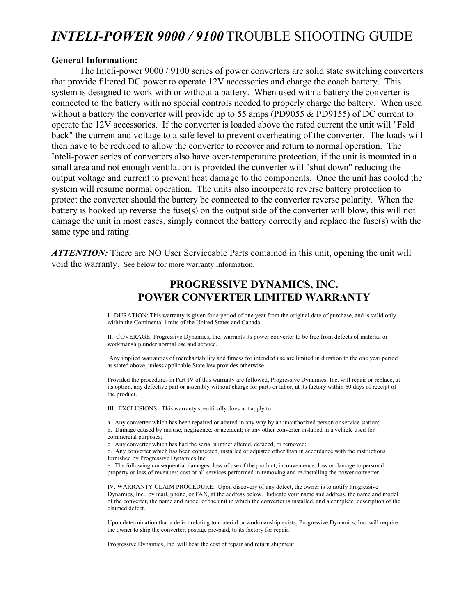### *INTELI-POWER 9000 / 9100* TROUBLE SHOOTING GUIDE

#### **General Information:**

 The Inteli-power 9000 / 9100 series of power converters are solid state switching converters that provide filtered DC power to operate 12V accessories and charge the coach battery. This system is designed to work with or without a battery. When used with a battery the converter is connected to the battery with no special controls needed to properly charge the battery. When used without a battery the converter will provide up to 55 amps (PD9055 & PD9155) of DC current to operate the 12V accessories. If the converter is loaded above the rated current the unit will "Fold back" the current and voltage to a safe level to prevent overheating of the converter. The loads will then have to be reduced to allow the converter to recover and return to normal operation. The Inteli-power series of converters also have over-temperature protection, if the unit is mounted in a small area and not enough ventilation is provided the converter will "shut down" reducing the output voltage and current to prevent heat damage to the components. Once the unit has cooled the system will resume normal operation. The units also incorporate reverse battery protection to protect the converter should the battery be connected to the converter reverse polarity. When the battery is hooked up reverse the fuse(s) on the output side of the converter will blow, this will not damage the unit in most cases, simply connect the battery correctly and replace the fuse(s) with the same type and rating.

*ATTENTION:* There are NO User Serviceable Parts contained in this unit, opening the unit will void the warranty. See below for more warranty information.

#### **PROGRESSIVE DYNAMICS, INC. POWER CONVERTER LIMITED WARRANTY**

I. DURATION: This warranty is given for a period of one year from the original date of purchase, and is valid only within the Continental limits of the United States and Canada.

II. COVERAGE: Progressive Dynamics, Inc. warrants its power converter to be free from defects of material or workmanship under normal use and service.

Any implied warranties of merchantability and fitness for intended use are limited in duration to the one year period as stated above, unless applicable State law provides otherwise.

Provided the procedures in Part IV of this warranty are followed, Progressive Dynamics, Inc. will repair or replace, at its option, any defective part or assembly without charge for parts or labor, at its factory within 60 days of receipt of the product.

III. EXCLUSIONS: This warranty specifically does not apply to:

a. Any converter which has been repaired or altered in any way by an unauthorized person or service station; b. Damage caused by misuse, negligence, or accident; or any other converter installed in a vehicle used for

commercial purposes;

c. Any converter which has had the serial number altered, defaced, or removed;

d. Any converter which has been connected, installed or adjusted other than in accordance with the instructions furnished by Progressive Dynamics Inc.

e. The following consequential damages: loss of use of the product; inconvenience; loss or damage to personal property or loss of revenues; cost of all services performed in removing and re-installing the power converter.

IV. WARRANTY CLAIM PROCEDURE: Upon discovery of any defect, the owner is to notify Progressive Dynamics, Inc., by mail, phone, or FAX, at the address below. Indicate your name and address, the name and model of the converter, the name and model of the unit in which the converter is installed, and a complete description of the claimed defect.

Upon determination that a defect relating to material or workmanship exists, Progressive Dynamics, Inc. will require the owner to ship the converter, postage pre-paid, to its factory for repair.

Progressive Dynamics, Inc. will bear the cost of repair and return shipment.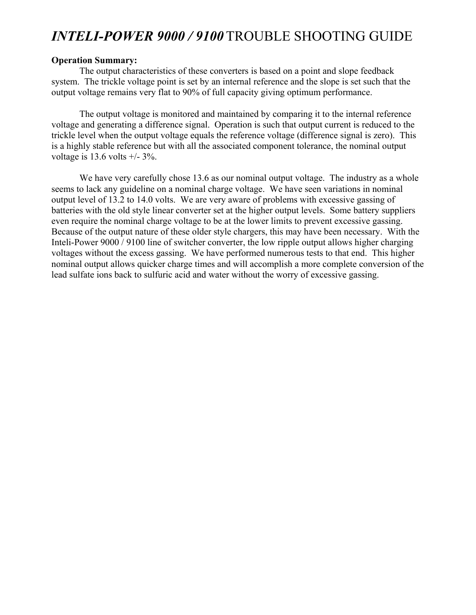# *INTELI-POWER 9000 / 9100* TROUBLE SHOOTING GUIDE

#### **Operation Summary:**

 The output characteristics of these converters is based on a point and slope feedback system. The trickle voltage point is set by an internal reference and the slope is set such that the output voltage remains very flat to 90% of full capacity giving optimum performance.

The output voltage is monitored and maintained by comparing it to the internal reference voltage and generating a difference signal. Operation is such that output current is reduced to the trickle level when the output voltage equals the reference voltage (difference signal is zero). This is a highly stable reference but with all the associated component tolerance, the nominal output voltage is  $13.6$  volts  $+/- 3\%$ .

We have very carefully chose 13.6 as our nominal output voltage. The industry as a whole seems to lack any guideline on a nominal charge voltage. We have seen variations in nominal output level of 13.2 to 14.0 volts. We are very aware of problems with excessive gassing of batteries with the old style linear converter set at the higher output levels. Some battery suppliers even require the nominal charge voltage to be at the lower limits to prevent excessive gassing. Because of the output nature of these older style chargers, this may have been necessary. With the Inteli-Power 9000 / 9100 line of switcher converter, the low ripple output allows higher charging voltages without the excess gassing. We have performed numerous tests to that end. This higher nominal output allows quicker charge times and will accomplish a more complete conversion of the lead sulfate ions back to sulfuric acid and water without the worry of excessive gassing.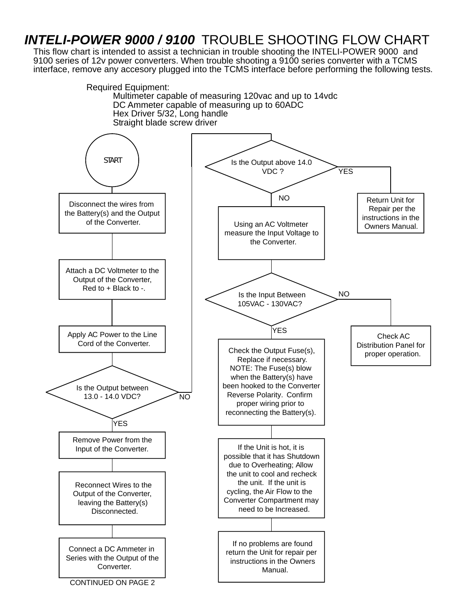## *INTELI-POWER 9000 / 9100* TROUBLE SHOOTING FLOW CHART

This flow chart is intended to assist a technician in trouble shooting the INTELI-POWER 9000 and 9100 series of 12v power converters. When trouble shooting a 9100 series converter with a TCMS interface, remove any accesory plugged into the TCMS interface before performing the following tests.